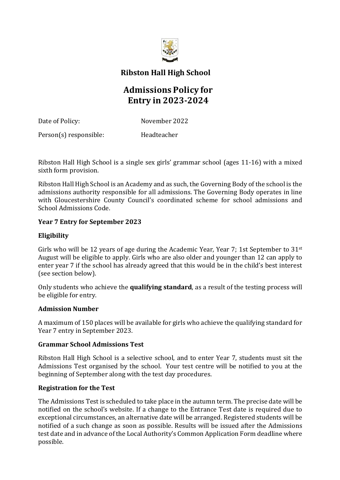

**Ribston Hall High School**

# **Admissions Policy for Entry in 2023-2024**

Date of Policy: November 2022

Person(s) responsible: Headteacher

Ribston Hall High School is a single sex girls' grammar school (ages 11-16) with a mixed sixth form provision.

Ribston Hall High School is an Academy and as such, the Governing Body of the school is the admissions authority responsible for all admissions. The Governing Body operates in line with Gloucestershire County Council's coordinated scheme for school admissions and School Admissions Code.

## **Year 7 Entry for September 2023**

# **Eligibility**

Girls who will be 12 years of age during the Academic Year, Year 7; 1st September to  $31<sup>st</sup>$ August will be eligible to apply. Girls who are also older and younger than 12 can apply to enter year 7 if the school has already agreed that this would be in the child's best interest (see section below).

Only students who achieve the **qualifying standard**, as a result of the testing process will be eligible for entry.

# **Admission Number**

A maximum of 150 places will be available for girls who achieve the qualifying standard for Year 7 entry in September 2023.

# **Grammar School Admissions Test**

Ribston Hall High School is a selective school, and to enter Year 7, students must sit the Admissions Test organised by the school. Your test centre will be notified to you at the beginning of September along with the test day procedures.

# **Registration for the Test**

The Admissions Test is scheduled to take place in the autumn term. The precise date will be notified on the school's website. If a change to the Entrance Test date is required due to exceptional circumstances, an alternative date will be arranged. Registered students will be notified of a such change as soon as possible. Results will be issued after the Admissions test date and in advance of the Local Authority's Common Application Form deadline where possible.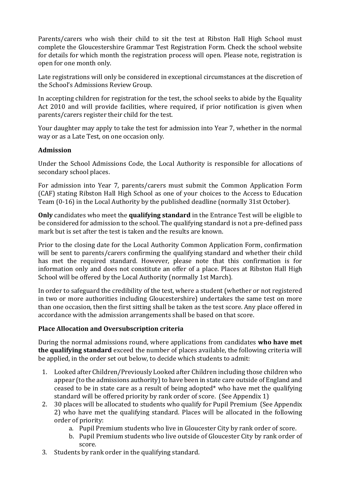Parents/carers who wish their child to sit the test at Ribston Hall High School must complete the Gloucestershire Grammar Test Registration Form. Check the school website for details for which month the registration process will open. Please note, registration is open for one month only.

Late registrations will only be considered in exceptional circumstances at the discretion of the School's Admissions Review Group.

In accepting children for registration for the test, the school seeks to abide by the Equality Act 2010 and will provide facilities, where required, if prior notification is given when parents/carers register their child for the test.

Your daughter may apply to take the test for admission into Year 7, whether in the normal way or as a Late Test, on one occasion only.

## **Admission**

Under the School Admissions Code, the Local Authority is responsible for allocations of secondary school places.

For admission into Year 7, parents/carers must submit the Common Application Form (CAF) stating Ribston Hall High School as one of your choices to the Access to Education Team (0-16) in the Local Authority by the published deadline (normally 31st October).

**Only** candidates who meet the **qualifying standard** in the Entrance Test will be eligible to be considered for admission to the school. The qualifying standard is not a pre-defined pass mark but is set after the test is taken and the results are known.

Prior to the closing date for the Local Authority Common Application Form, confirmation will be sent to parents/carers confirming the qualifying standard and whether their child has met the required standard. However, please note that this confirmation is for information only and does not constitute an offer of a place. Places at Ribston Hall High School will be offered by the Local Authority (normally 1st March).

In order to safeguard the credibility of the test, where a student (whether or not registered in two or more authorities including Gloucestershire) undertakes the same test on more than one occasion, then the first sitting shall be taken as the test score. Any place offered in accordance with the admission arrangements shall be based on that score.

# **Place Allocation and Oversubscription criteria**

During the normal admissions round, where applications from candidates **who have met the qualifying standard** exceed the number of places available, the following criteria will be applied, in the order set out below, to decide which students to admit:

- 1. Looked after Children/Previously Looked after Children including those children who appear (to the admissions authority) to have been in state care outside of England and ceased to be in state care as a result of being adopted\* who have met the qualifying standard will be offered priority by rank order of score. (See Appendix 1)
- 2. 30 places will be allocated to students who qualify for Pupil Premium (See Appendix 2) who have met the qualifying standard. Places will be allocated in the following order of priority:
	- a. Pupil Premium students who live in Gloucester City by rank order of score.
	- b. Pupil Premium students who live outside of Gloucester City by rank order of score.
- 3. Students by rank order in the qualifying standard.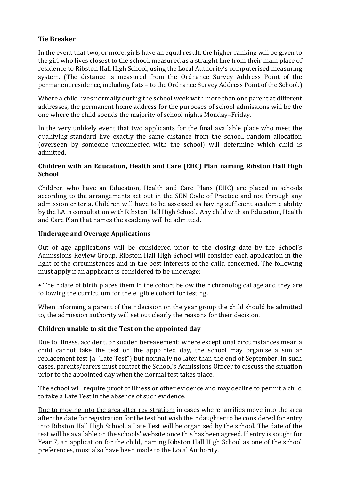## **Tie Breaker**

In the event that two, or more, girls have an equal result, the higher ranking will be given to the girl who lives closest to the school, measured as a straight line from their main place of residence to Ribston Hall High School, using the Local Authority's computerised measuring system. (The distance is measured from the Ordnance Survey Address Point of the permanent residence, including flats – to the Ordnance Survey Address Point of the School.)

Where a child lives normally during the school week with more than one parent at different addresses, the permanent home address for the purposes of school admissions will be the one where the child spends the majority of school nights Monday–Friday.

In the very unlikely event that two applicants for the final available place who meet the qualifying standard live exactly the same distance from the school, random allocation (overseen by someone unconnected with the school) will determine which child is admitted.

## **Children with an Education, Health and Care (EHC) Plan naming Ribston Hall High School**

Children who have an Education, Health and Care Plans (EHC) are placed in schools according to the arrangements set out in the SEN Code of Practice and not through any admission criteria. Children will have to be assessed as having sufficient academic ability by the LA in consultation with Ribston Hall High School. Any child with an Education, Health and Care Plan that names the academy will be admitted.

## **Underage and Overage Applications**

Out of age applications will be considered prior to the closing date by the School's Admissions Review Group. Ribston Hall High School will consider each application in the light of the circumstances and in the best interests of the child concerned. The following must apply if an applicant is considered to be underage:

• Their date of birth places them in the cohort below their chronological age and they are following the curriculum for the eligible cohort for testing.

When informing a parent of their decision on the year group the child should be admitted to, the admission authority will set out clearly the reasons for their decision.

#### **Children unable to sit the Test on the appointed day**

Due to illness, accident, or sudden bereavement: where exceptional circumstances mean a child cannot take the test on the appointed day, the school may organise a similar replacement test (a "Late Test") but normally no later than the end of September. In such cases, parents/carers must contact the School's Admissions Officer to discuss the situation prior to the appointed day when the normal test takes place.

The school will require proof of illness or other evidence and may decline to permit a child to take a Late Test in the absence of such evidence.

Due to moving into the area after registration: in cases where families move into the area after the date for registration for the test but wish their daughter to be considered for entry into Ribston Hall High School, a Late Test will be organised by the school. The date of the test will be available on the schools' website once this has been agreed. If entry is sought for Year 7, an application for the child, naming Ribston Hall High School as one of the school preferences, must also have been made to the Local Authority.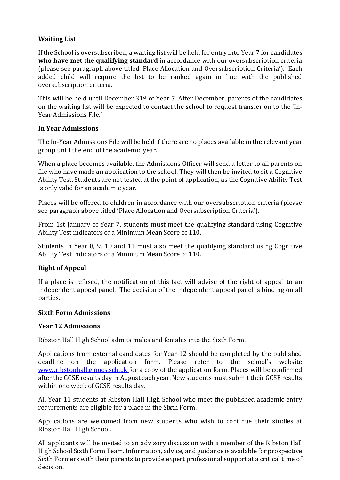# **Waiting List**

If the School is oversubscribed, a waiting list will be held for entry into Year 7 for candidates **who have met the qualifying standard** in accordance with our oversubscription criteria (please see paragraph above titled 'Place Allocation and Oversubscription Criteria'). Each added child will require the list to be ranked again in line with the published oversubscription criteria.

This will be held until December 31st of Year 7. After December, parents of the candidates on the waiting list will be expected to contact the school to request transfer on to the 'In-Year Admissions File.'

#### **In Year Admissions**

The In-Year Admissions File will be held if there are no places available in the relevant year group until the end of the academic year.

When a place becomes available, the Admissions Officer will send a letter to all parents on file who have made an application to the school. They will then be invited to sit a Cognitive Ability Test. Students are not tested at the point of application, as the Cognitive Ability Test is only valid for an academic year.

Places will be offered to children in accordance with our oversubscription criteria (please see paragraph above titled 'Place Allocation and Oversubscription Criteria').

From 1st January of Year 7, students must meet the qualifying standard using Cognitive Ability Test indicators of a Minimum Mean Score of 110.

Students in Year 8, 9, 10 and 11 must also meet the qualifying standard using Cognitive Ability Test indicators of a Minimum Mean Score of 110.

#### **Right of Appeal**

If a place is refused, the notification of this fact will advise of the right of appeal to an independent appeal panel. The decision of the independent appeal panel is binding on all parties.

#### **Sixth Form Admissions**

#### **Year 12 Admissions**

Ribston Hall High School admits males and females into the Sixth Form.

Applications from external candidates for Year 12 should be completed by the published deadline on the application form. Please refer to the school's website [www.ribstonhall.gloucs.sch.uk f](http://www.ribstonhall.gloucs.sch.uk/)or a copy of the application form. Places will be confirmed after the GCSE results day in August each year. New students must submit their GCSE results within one week of GCSE results day.

All Year 11 students at Ribston Hall High School who meet the published academic entry requirements are eligible for a place in the Sixth Form.

Applications are welcomed from new students who wish to continue their studies at Ribston Hall High School.

All applicants will be invited to an advisory discussion with a member of the Ribston Hall High School Sixth Form Team. Information, advice, and guidance is available for prospective Sixth Formers with their parents to provide expert professional support at a critical time of decision.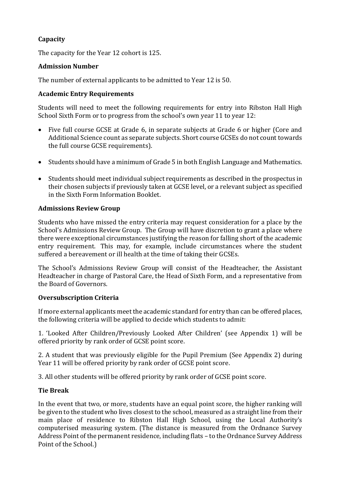# **Capacity**

The capacity for the Year 12 cohort is 125.

# **Admission Number**

The number of external applicants to be admitted to Year 12 is 50.

## **Academic Entry Requirements**

Students will need to meet the following requirements for entry into Ribston Hall High School Sixth Form or to progress from the school's own year 11 to year 12:

- Five full course GCSE at Grade 6, in separate subjects at Grade 6 or higher (Core and Additional Science count as separate subjects. Short course GCSEs do not count towards the full course GCSE requirements).
- Students should have a minimum of Grade 5 in both English Language and Mathematics.
- Students should meet individual subject requirements as described in the prospectus in their chosen subjects if previously taken at GCSE level, or a relevant subject as specified in the Sixth Form Information Booklet.

#### **Admissions Review Group**

Students who have missed the entry criteria may request consideration for a place by the School's Admissions Review Group. The Group will have discretion to grant a place where there were exceptional circumstances justifying the reason for falling short of the academic entry requirement. This may, for example, include circumstances where the student suffered a bereavement or ill health at the time of taking their GCSEs.

The School's Admissions Review Group will consist of the Headteacher, the Assistant Headteacher in charge of Pastoral Care, the Head of Sixth Form, and a representative from the Board of Governors.

#### **Oversubscription Criteria**

If more external applicants meet the academic standard for entry than can be offered places, the following criteria will be applied to decide which students to admit:

1. 'Looked After Children/Previously Looked After Children' (see Appendix 1) will be offered priority by rank order of GCSE point score.

2. A student that was previously eligible for the Pupil Premium (See Appendix 2) during Year 11 will be offered priority by rank order of GCSE point score.

3. All other students will be offered priority by rank order of GCSE point score.

# **Tie Break**

In the event that two, or more, students have an equal point score, the higher ranking will be given to the student who lives closest to the school, measured as a straight line from their main place of residence to Ribston Hall High School, using the Local Authority's computerised measuring system. (The distance is measured from the Ordnance Survey Address Point of the permanent residence, including flats – to the Ordnance Survey Address Point of the School.)